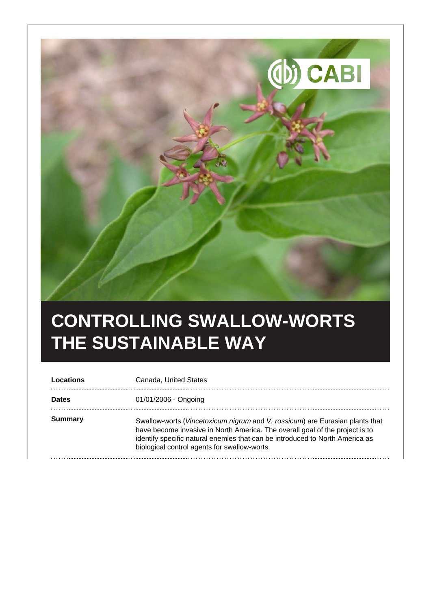

## **CONTROLLING SWALLOW-WORTS THE SUSTAINABLE WAY**

| Locations      | Canada, United States                                                                                                                                                                                                                                                                        |
|----------------|----------------------------------------------------------------------------------------------------------------------------------------------------------------------------------------------------------------------------------------------------------------------------------------------|
| <b>Dates</b>   | 01/01/2006 - Ongoing                                                                                                                                                                                                                                                                         |
| <b>Summary</b> | Swallow-worts (Vincetoxicum nigrum and V. rossicum) are Eurasian plants that<br>have become invasive in North America. The overall goal of the project is to<br>identify specific natural enemies that can be introduced to North America as<br>biological control agents for swallow-worts. |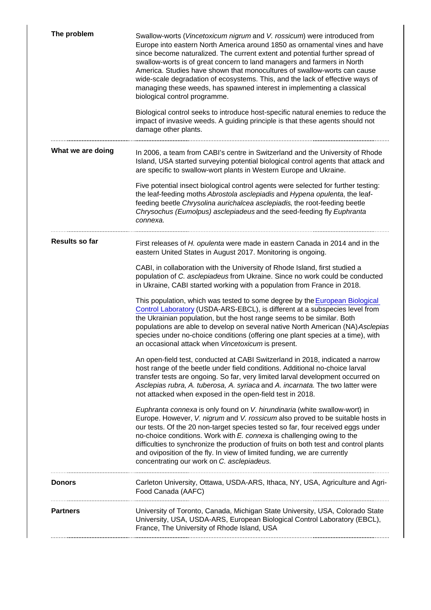| The problem       | Swallow-worts (Vincetoxicum nigrum and V. rossicum) were introduced from<br>Europe into eastern North America around 1850 as ornamental vines and have<br>since become naturalized. The current extent and potential further spread of<br>swallow-worts is of great concern to land managers and farmers in North<br>America. Studies have shown that monocultures of swallow-worts can cause<br>wide-scale degradation of ecosystems. This, and the lack of effective ways of<br>managing these weeds, has spawned interest in implementing a classical<br>biological control programme.<br>Biological control seeks to introduce host-specific natural enemies to reduce the<br>impact of invasive weeds. A guiding principle is that these agents should not<br>damage other plants. |
|-------------------|-----------------------------------------------------------------------------------------------------------------------------------------------------------------------------------------------------------------------------------------------------------------------------------------------------------------------------------------------------------------------------------------------------------------------------------------------------------------------------------------------------------------------------------------------------------------------------------------------------------------------------------------------------------------------------------------------------------------------------------------------------------------------------------------|
| What we are doing | In 2006, a team from CABI's centre in Switzerland and the University of Rhode<br>Island, USA started surveying potential biological control agents that attack and<br>are specific to swallow-wort plants in Western Europe and Ukraine.                                                                                                                                                                                                                                                                                                                                                                                                                                                                                                                                                |
|                   | Five potential insect biological control agents were selected for further testing:<br>the leaf-feeding moths Abrostola asclepiadis and Hypena opulenta, the leaf-<br>feeding beetle Chrysolina aurichalcea asclepiadis, the root-feeding beetle<br>Chrysochus (Eumolpus) asclepiadeus and the seed-feeding fly Euphranta<br>connexa.                                                                                                                                                                                                                                                                                                                                                                                                                                                    |
| Results so far    | First releases of H. opulenta were made in eastern Canada in 2014 and in the<br>eastern United States in August 2017. Monitoring is ongoing.                                                                                                                                                                                                                                                                                                                                                                                                                                                                                                                                                                                                                                            |
|                   | CABI, in collaboration with the University of Rhode Island, first studied a<br>population of C. asclepiadeus from Ukraine. Since no work could be conducted<br>in Ukraine, CABI started working with a population from France in 2018.                                                                                                                                                                                                                                                                                                                                                                                                                                                                                                                                                  |
|                   | This population, which was tested to some degree by the European Biological<br>Control Laboratory (USDA-ARS-EBCL), is different at a subspecies level from<br>the Ukrainian population, but the host range seems to be similar. Both<br>populations are able to develop on several native North American (NA) Asclepias<br>species under no-choice conditions (offering one plant species at a time), with<br>an occasional attack when Vincetoxicum is present.                                                                                                                                                                                                                                                                                                                        |
|                   | An open-field test, conducted at CABI Switzerland in 2018, indicated a narrow<br>host range of the beetle under field conditions. Additional no-choice larval<br>transfer tests are ongoing. So far, very limited larval development occurred on<br>Asclepias rubra, A. tuberosa, A. syriaca and A. incarnata. The two latter were<br>not attacked when exposed in the open-field test in 2018.                                                                                                                                                                                                                                                                                                                                                                                         |
|                   | Euphranta connexa is only found on V. hirundinaria (white swallow-wort) in<br>Europe. However, V. nigrum and V. rossicum also proved to be suitable hosts in<br>our tests. Of the 20 non-target species tested so far, four received eggs under<br>no-choice conditions. Work with E. connexa is challenging owing to the<br>difficulties to synchronize the production of fruits on both test and control plants<br>and oviposition of the fly. In view of limited funding, we are currently<br>concentrating our work on C. asclepiadeus.                                                                                                                                                                                                                                             |
| Donors            | Carleton University, Ottawa, USDA-ARS, Ithaca, NY, USA, Agriculture and Agri-<br>Food Canada (AAFC)                                                                                                                                                                                                                                                                                                                                                                                                                                                                                                                                                                                                                                                                                     |
| Partners          | University of Toronto, Canada, Michigan State University, USA, Colorado State<br>University, USA, USDA-ARS, European Biological Control Laboratory (EBCL),<br>France, The University of Rhode Island, USA                                                                                                                                                                                                                                                                                                                                                                                                                                                                                                                                                                               |